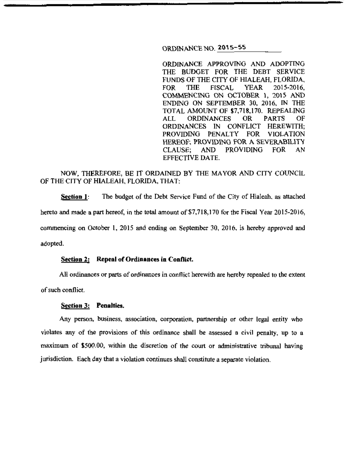# ORDINANCE NO. 2015-55

ORDINANCE APPROVING AND ADOPTING THE BUDGET FOR THE DEBT SERVICE FUNDS OF THE CITY OF HIALEAH, FLORIDA, FOR THE FISCAL YEAR 2015-2016, COMMENCING ON OC10BER l, 20\5 AND ENDING ON SEPTEMBER 30, 2016, IN THE TOTAL AMOUNT OF \$7,718,170. REPEALING ALL ORDINANCES OR PARTS OF<br>ORDINANCES IN CONFLICT HEREWITH: ORDINANCES IN CONFLICT PROVIDING PENALTY FOR VIOLATION HEREOF; PROVIDING FOR A SEVERABILITY CLAUSE; AND PROVIDING FOR AN EFFECTIVE DATE.

# NOW, THEREFORE, BE IT ORDAINED BY THE MAYOR AND CITY COUNCIL OF THE CITY OF HIALEAH, FLORIDA, THAT:

**Section I:** The budget of the Debt Service Fund of the City of Hialeah, as attached hereto and made a part hereof, in the total amount of  $$7,718,170$  for the Fiscal Year 2015-2016, commencing on October 1, 2015 and ending on September 30, 2016, is hereby approved and adopted.

#### **Section 2:** Repeal of Ordinances in Conflict.

All ordinances or parts of ordinances in conflict herewith are hereby repealed to the extent

of such conflict

#### **Section 3: Penalties.**

Any person, business, association, corporation, partnership or other legal entity who violates any of the provisions of this ordinance shall be assessed a civil penalty, up to a maximwn of \$500.00, within the discretion of the court or administrative tribunal having jurisdiction. Each day that a violation continues shall constitute a separate violation.